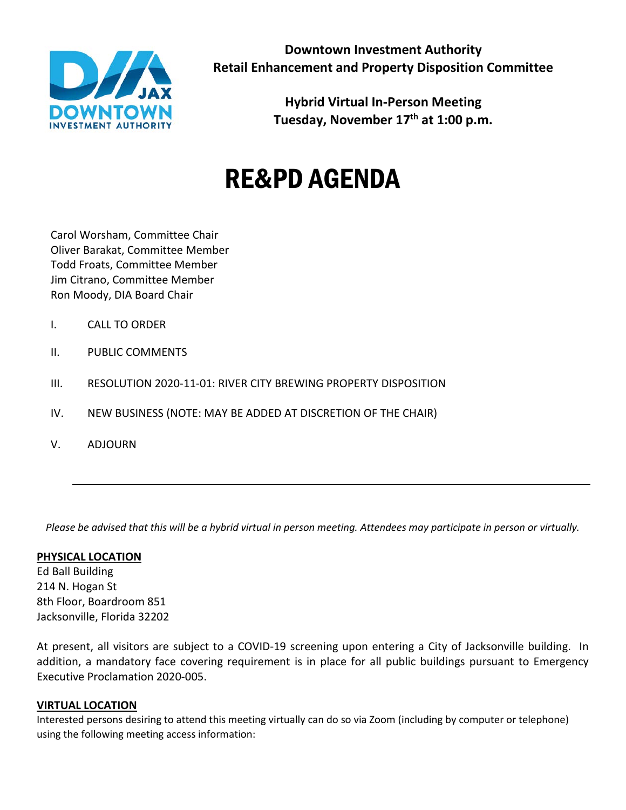

**Hybrid Virtual In-Person Meeting Tuesday, November 17th at 1:00 p.m.**

# RE&PD AGENDA

Carol Worsham, Committee Chair Oliver Barakat, Committee Member Todd Froats, Committee Member Jim Citrano, Committee Member Ron Moody, DIA Board Chair

- I. CALL TO ORDER
- II. PUBLIC COMMENTS
- III. RESOLUTION 2020-11-01: RIVER CITY BREWING PROPERTY DISPOSITION
- IV. NEW BUSINESS (NOTE: MAY BE ADDED AT DISCRETION OF THE CHAIR)
- V. ADJOURN

*Please be advised that this will be a hybrid virtual in person meeting. Attendees may participate in person or virtually.*

## **PHYSICAL LOCATION**

Ed Ball Building 214 N. Hogan St 8th Floor, Boardroom 851 Jacksonville, Florida 32202

At present, all visitors are subject to a COVID-19 screening upon entering a City of Jacksonville building. In addition, a mandatory face covering requirement is in place for all public buildings pursuant to Emergency Executive Proclamation 2020-005.

## **VIRTUAL LOCATION**

Interested persons desiring to attend this meeting virtually can do so via Zoom (including by computer or telephone) using the following meeting access information: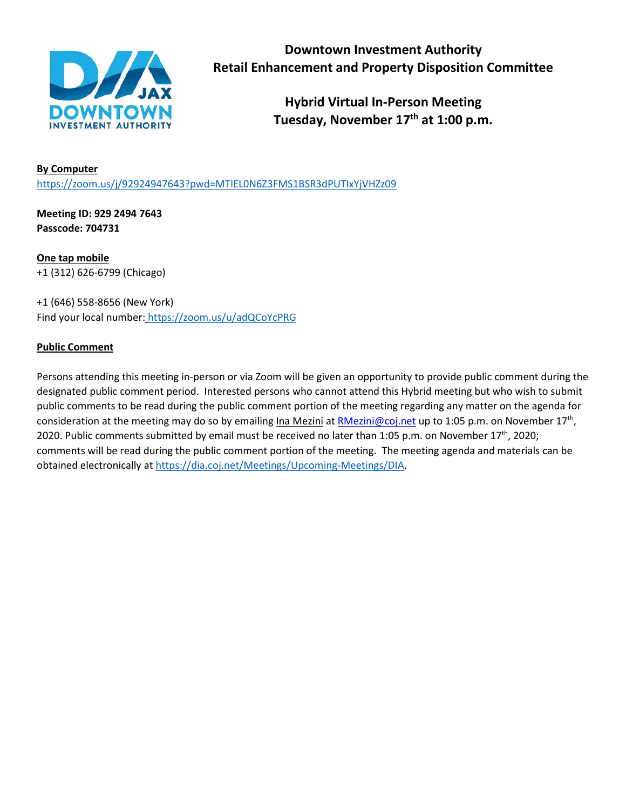

**Hybrid Virtual In-Person Meeting Tuesday, November 17th at 1:00 p.m.**

# **By Computer** <https://zoom.us/j/92924947643?pwd=MTlEL0N6Z3FMS1BSR3dPUTIxYjVHZz09>

**Meeting ID: 929 2494 7643 Passcode: 704731**

**One tap mobile** +1 (312) 626-6799 (Chicago)

+1 (646) 558-8656 (New York) Find your local number: <https://zoom.us/u/adQCoYcPRG>

# **Public Comment**

Persons attending this meeting in-person or via Zoom will be given an opportunity to provide public comment during the designated public comment period. Interested persons who cannot attend this Hybrid meeting but who wish to submit public comments to be read during the public comment portion of the meeting regarding any matter on the agenda for consideration at the meeting may do so by emailing Ina Mezini at [RMezini@coj.net](mailto:RMezini@coj.net) up to 1:05 p.m. on November 17<sup>th</sup>, 2020. Public comments submitted by email must be received no later than 1:05 p.m. on November 17<sup>th</sup>, 2020; comments will be read during the public comment portion of the meeting. The meeting agenda and materials can be obtained electronically at [https://dia.coj.net/Meetings/Upcoming-Meetings/DIA.](https://dia.coj.net/Meetings/Upcoming-Meetings/DIA)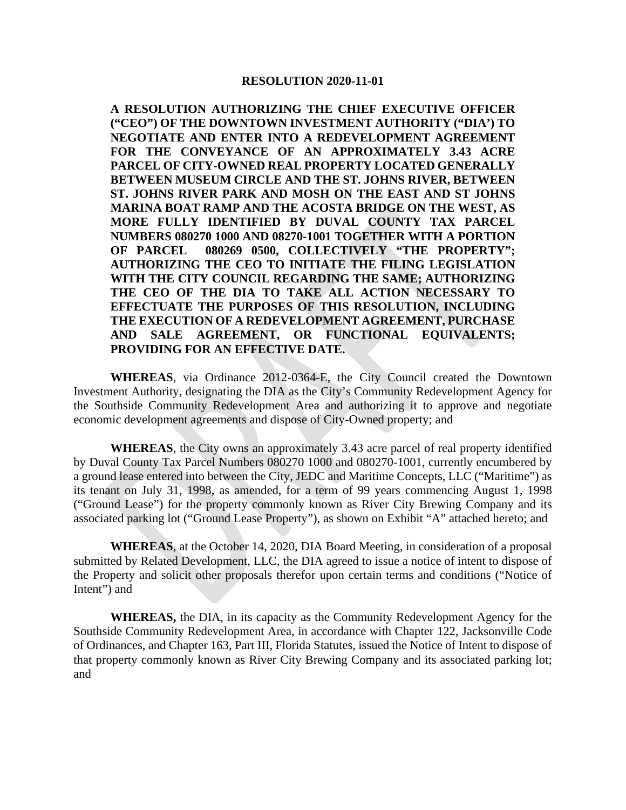#### **RESOLUTION 2020-11-01**

**A RESOLUTION AUTHORIZING THE CHIEF EXECUTIVE OFFICER ("CEO") OF THE DOWNTOWN INVESTMENT AUTHORITY ("DIA') TO NEGOTIATE AND ENTER INTO A REDEVELOPMENT AGREEMENT FOR THE CONVEYANCE OF AN APPROXIMATELY 3.43 ACRE PARCEL OF CITY-OWNED REAL PROPERTY LOCATED GENERALLY BETWEEN MUSEUM CIRCLE AND THE ST. JOHNS RIVER, BETWEEN ST. JOHNS RIVER PARK AND MOSH ON THE EAST AND ST JOHNS MARINA BOAT RAMP AND THE ACOSTA BRIDGE ON THE WEST, AS MORE FULLY IDENTIFIED BY DUVAL COUNTY TAX PARCEL NUMBERS 080270 1000 AND 08270-1001 TOGETHER WITH A PORTION OF PARCEL 080269 0500, COLLECTIVELY "THE PROPERTY"; AUTHORIZING THE CEO TO INITIATE THE FILING LEGISLATION WITH THE CITY COUNCIL REGARDING THE SAME; AUTHORIZING THE CEO OF THE DIA TO TAKE ALL ACTION NECESSARY TO EFFECTUATE THE PURPOSES OF THIS RESOLUTION, INCLUDING THE EXECUTION OF A REDEVELOPMENT AGREEMENT, PURCHASE AND SALE AGREEMENT, OR FUNCTIONAL EQUIVALENTS; PROVIDING FOR AN EFFECTIVE DATE.**

**WHEREAS**, via Ordinance 2012-0364-E, the City Council created the Downtown Investment Authority, designating the DIA as the City's Community Redevelopment Agency for the Southside Community Redevelopment Area and authorizing it to approve and negotiate economic development agreements and dispose of City-Owned property; and

**WHEREAS**, the City owns an approximately 3.43 acre parcel of real property identified by Duval County Tax Parcel Numbers 080270 1000 and 080270-1001, currently encumbered by a ground lease entered into between the City, JEDC and Maritime Concepts, LLC ("Maritime") as its tenant on July 31, 1998, as amended, for a term of 99 years commencing August 1, 1998 ("Ground Lease") for the property commonly known as River City Brewing Company and its associated parking lot ("Ground Lease Property"), as shown on Exhibit "A" attached hereto; and

**WHEREAS**, at the October 14, 2020, DIA Board Meeting, in consideration of a proposal submitted by Related Development, LLC, the DIA agreed to issue a notice of intent to dispose of the Property and solicit other proposals therefor upon certain terms and conditions ("Notice of Intent") and

**WHEREAS,** the DIA, in its capacity as the Community Redevelopment Agency for the Southside Community Redevelopment Area, in accordance with Chapter 122, Jacksonville Code of Ordinances, and Chapter 163, Part III, Florida Statutes, issued the Notice of Intent to dispose of that property commonly known as River City Brewing Company and its associated parking lot; and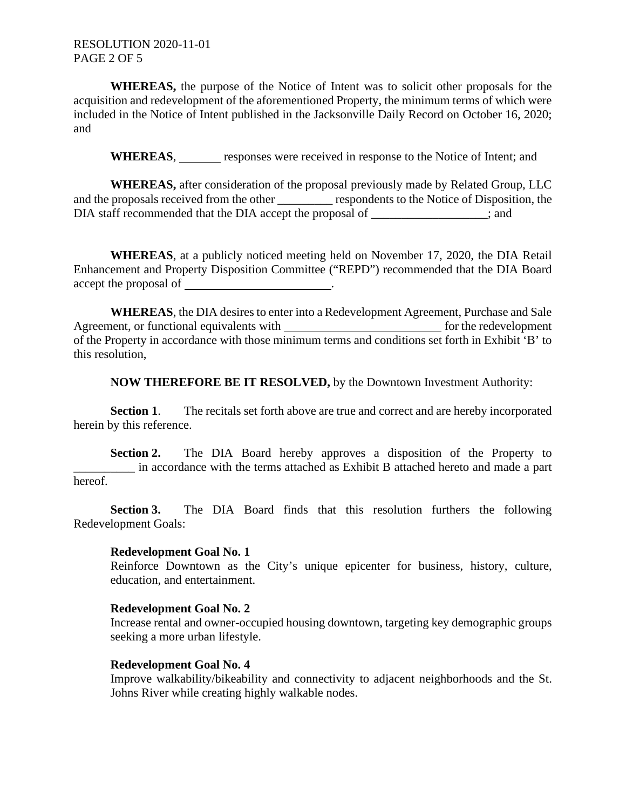**WHEREAS,** the purpose of the Notice of Intent was to solicit other proposals for the acquisition and redevelopment of the aforementioned Property, the minimum terms of which were included in the Notice of Intent published in the Jacksonville Daily Record on October 16, 2020; and

WHEREAS, responses were received in response to the Notice of Intent; and

**WHEREAS,** after consideration of the proposal previously made by Related Group, LLC and the proposals received from the other \_\_\_\_\_\_\_\_\_ respondents to the Notice of Disposition, the DIA staff recommended that the DIA accept the proposal of  $\cdot$  and  $\cdot$ ; and

**WHEREAS**, at a publicly noticed meeting held on November 17, 2020, the DIA Retail Enhancement and Property Disposition Committee ("REPD") recommended that the DIA Board accept the proposal of \_\_\_\_\_\_\_\_\_\_\_\_\_\_\_\_\_\_\_\_\_\_.

**WHEREAS**, the DIA desires to enter into a Redevelopment Agreement, Purchase and Sale Agreement, or functional equivalents with **for the redevelopment** for the redevelopment of the Property in accordance with those minimum terms and conditions set forth in Exhibit 'B' to this resolution,

**NOW THEREFORE BE IT RESOLVED,** by the Downtown Investment Authority:

**Section 1**. The recitals set forth above are true and correct and are hereby incorporated herein by this reference.

**Section 2.** The DIA Board hereby approves a disposition of the Property to \_\_\_\_\_\_\_\_\_\_ in accordance with the terms attached as Exhibit B attached hereto and made a part hereof.

**Section 3.** The DIA Board finds that this resolution furthers the following Redevelopment Goals:

## **Redevelopment Goal No. 1**

Reinforce Downtown as the City's unique epicenter for business, history, culture, education, and entertainment.

#### **Redevelopment Goal No. 2**

Increase rental and owner-occupied housing downtown, targeting key demographic groups seeking a more urban lifestyle.

#### **Redevelopment Goal No. 4**

Improve walkability/bikeability and connectivity to adjacent neighborhoods and the St. Johns River while creating highly walkable nodes.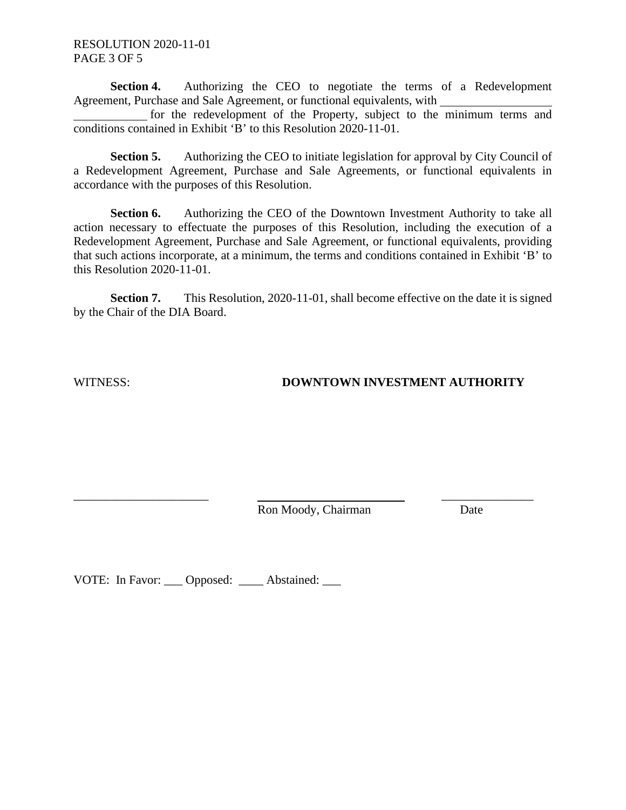RESOLUTION 2020-11-01 PAGE 3 OF 5

**Section 4.** Authorizing the CEO to negotiate the terms of a Redevelopment Agreement, Purchase and Sale Agreement, or functional equivalents, with

for the redevelopment of the Property, subject to the minimum terms and conditions contained in Exhibit 'B' to this Resolution 2020-11-01.

**Section 5.** Authorizing the CEO to initiate legislation for approval by City Council of a Redevelopment Agreement, Purchase and Sale Agreements, or functional equivalents in accordance with the purposes of this Resolution.

**Section 6.** Authorizing the CEO of the Downtown Investment Authority to take all action necessary to effectuate the purposes of this Resolution, including the execution of a Redevelopment Agreement, Purchase and Sale Agreement, or functional equivalents, providing that such actions incorporate, at a minimum, the terms and conditions contained in Exhibit 'B' to this Resolution 2020-11-01.

**Section 7.** This Resolution, 2020-11-01, shall become effective on the date it is signed by the Chair of the DIA Board.

# WITNESS: **DOWNTOWN INVESTMENT AUTHORITY**

Ron Moody, Chairman Date

\_\_\_\_\_\_\_\_\_\_\_\_\_\_\_\_\_\_\_\_\_\_ \_\_\_\_\_\_\_\_\_\_\_\_\_\_\_

VOTE: In Favor: \_\_\_ Opposed: \_\_\_\_ Abstained: \_\_\_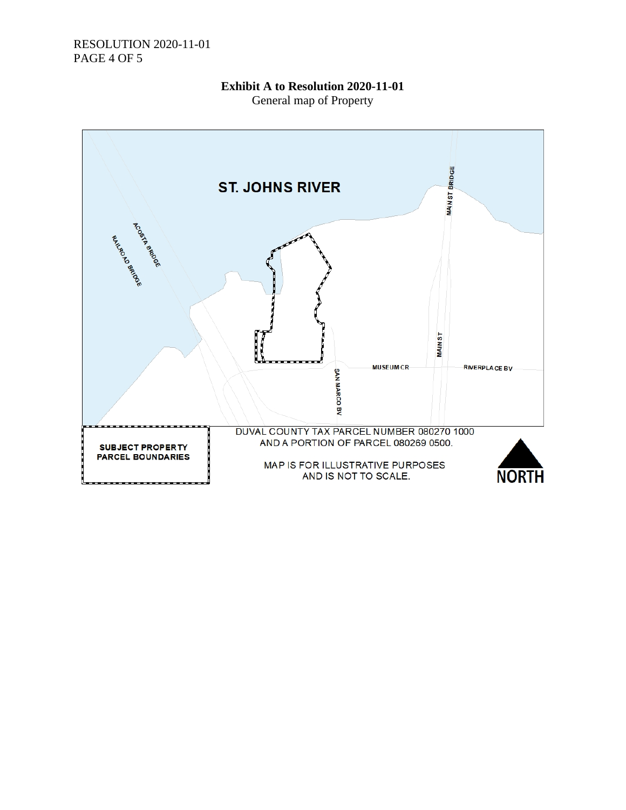### RESOLUTION 2020-11-01 PAGE 4 OF 5

# **Exhibit A to Resolution 2020-11-01**

General map of Property